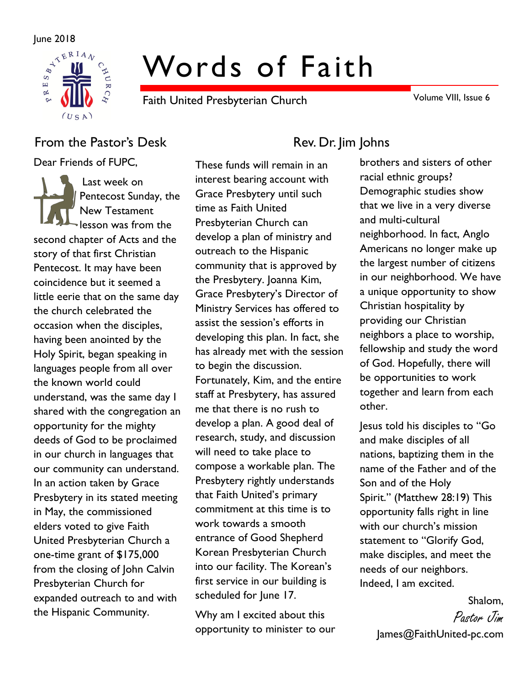

# Words of Faith

Faith United Presbyterian Church

Volume VIII, Issue 6

## From the Pastor's Desk Rev. Dr. Jim Johns

Dear Friends of FUPC,

Last week on Pentecost Sunday, the New Testament lesson was from the second chapter of Acts and the story of that first Christian Pentecost. It may have been coincidence but it seemed a little eerie that on the same day the church celebrated the occasion when the disciples, having been anointed by the Holy Spirit, began speaking in languages people from all over the known world could understand, was the same day I shared with the congregation an opportunity for the mighty deeds of God to be proclaimed in our church in languages that our community can understand. In an action taken by Grace Presbytery in its stated meeting in May, the commissioned elders voted to give Faith United Presbyterian Church a one-time grant of \$175,000 from the closing of John Calvin Presbyterian Church for expanded outreach to and with the Hispanic Community.

These funds will remain in an interest bearing account with Grace Presbytery until such time as Faith United Presbyterian Church can develop a plan of ministry and outreach to the Hispanic community that is approved by the Presbytery. Joanna Kim, Grace Presbytery's Director of Ministry Services has offered to assist the session's efforts in developing this plan. In fact, she has already met with the session to begin the discussion. Fortunately, Kim, and the entire staff at Presbytery, has assured me that there is no rush to develop a plan. A good deal of research, study, and discussion will need to take place to compose a workable plan. The Presbytery rightly understands that Faith United's primary commitment at this time is to work towards a smooth entrance of Good Shepherd Korean Presbyterian Church into our facility. The Korean's first service in our building is scheduled for June 17.

Why am I excited about this opportunity to minister to our

brothers and sisters of other racial ethnic groups? Demographic studies show that we live in a very diverse and multi-cultural neighborhood. In fact, Anglo Americans no longer make up the largest number of citizens in our neighborhood. We have a unique opportunity to show Christian hospitality by providing our Christian neighbors a place to worship, fellowship and study the word of God. Hopefully, there will be opportunities to work together and learn from each other.

Jesus told his disciples to "Go and make disciples of all nations, baptizing them in the name of the Father and of the Son and of the Holy Spirit." (Matthew 28:19) This opportunity falls right in line with our church's mission statement to "Glorify God, make disciples, and meet the needs of our neighbors. Indeed, I am excited.

> Shalom, Pastor Jim James@FaithUnited-pc.com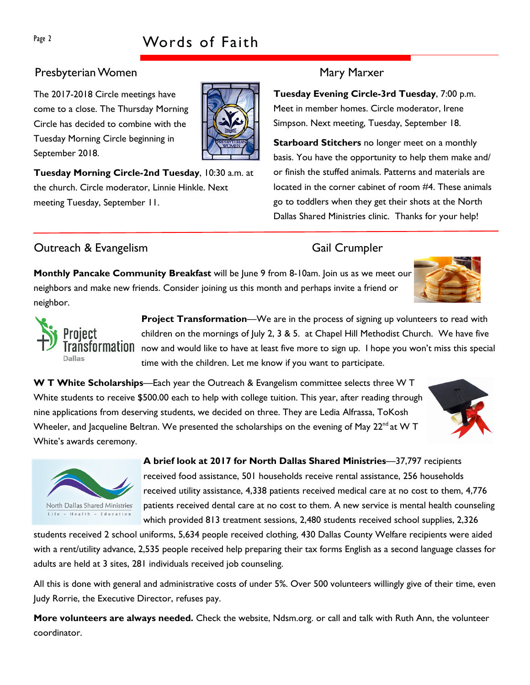# Page 2 Words of Faith

### Presbyterian Women Mary Marxer

The 2017-2018 Circle meetings have come to a close. The Thursday Morning Circle has decided to combine with the Tuesday Morning Circle beginning in September 2018.

Tuesday Morning Circle-2nd Tuesday, 10:30 a.m. at the church. Circle moderator, Linnie Hinkle. Next meeting Tuesday, September 11.

Tuesday Evening Circle-3rd Tuesday, 7:00 p.m. Meet in member homes. Circle moderator, Irene Simpson. Next meeting, Tuesday, September 18.

**Starboard Stitchers** no longer meet on a monthly basis. You have the opportunity to help them make and/ or finish the stuffed animals. Patterns and materials are located in the corner cabinet of room #4. These animals go to toddlers when they get their shots at the North Dallas Shared Ministries clinic. Thanks for your help!

### **Outreach & Evangelism** Gail Crumpler

North Dallas Shared Ministries Life - Health - Education

**Monthly Pancake Community Breakfast** will be June 9 from 8-10am. Join us as we meet our neighbors and make new friends. Consider joining us this month and perhaps invite a friend or neighbor.

> Project Transformation—We are in the process of signing up volunteers to read with children on the mornings of July 2, 3 & 5. at Chapel Hill Methodist Church. We have five  $\mathsf{NSI}\mathsf{O}\mathsf{r}\mathsf{m}\mathsf{a}\mathsf{t}\mathsf{I}\mathsf{0}\mathsf{I}\mathsf{0}$  now and would like to have at least five more to sign up. I hope you won't miss this special time with the children. Let me know if you want to participate.

W T White Scholarships—Each year the Outreach & Evangelism committee selects three W T White students to receive \$500.00 each to help with college tuition. This year, after reading through nine applications from deserving students, we decided on three. They are Ledia Alfrassa, ToKosh Wheeler, and Jacqueline Beltran. We presented the scholarships on the evening of May 22<sup>nd</sup> at W T White's awards ceremony.

> A brief look at 2017 for North Dallas Shared Ministries—37,797 recipients received food assistance, 501 households receive rental assistance, 256 households received utility assistance, 4,338 patients received medical care at no cost to them, 4,776 patients received dental care at no cost to them. A new service is mental health counseling which provided 813 treatment sessions, 2,480 students received school supplies, 2,326

students received 2 school uniforms, 5,634 people received clothing, 430 Dallas County Welfare recipients were aided with a rent/utility advance, 2,535 people received help preparing their tax forms English as a second language classes for adults are held at 3 sites, 281 individuals received job counseling.

All this is done with general and administrative costs of under 5%. Over 500 volunteers willingly give of their time, even Judy Rorrie, the Executive Director, refuses pay.

More volunteers are always needed. Check the website, Ndsm.org. or call and talk with Ruth Ann, the volunteer coordinator.







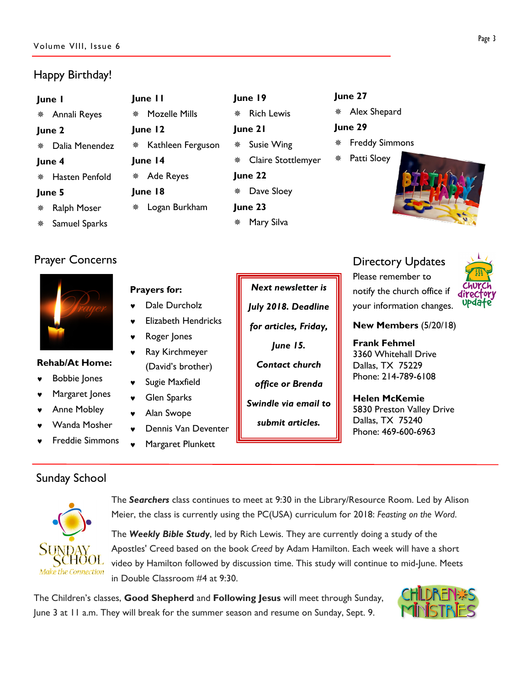### Happy Birthday!

#### June 1

Annali Reyes

#### June 2

Dalia Menendez

#### June 4

Hasten Penfold

#### June 5

 Ralph Moser Samuel Sparks

Prayer Concerns



#### Rehab/At Home:

- **Bobbie Jones**
- Margaret Jones
- Anne Mobley
- Wanda Mosher
- **Freddie Simmons**

### Sunday School



The Searchers class continues to meet at 9:30 in the Library/Resource Room. Led by Alison Meier, the class is currently using the PC(USA) curriculum for 2018: Feasting on the Word.

The Weekly Bible Study, led by Rich Lewis. They are currently doing a study of the Apostles' Creed based on the book Creed by Adam Hamilton. Each week will have a short video by Hamilton followed by discussion time. This study will continue to mid-June. Meets in Double Classroom #4 at 9:30.

The Children's classes, Good Shepherd and Following Jesus will meet through Sunday, June 3 at 11 a.m. They will break for the summer season and resume on Sunday, Sept. 9.



Next newsletter is June 15. submit articles.

Directory Updates Please remember to notify the church office if your information changes.



#### New Members (5/20/18)

Frank Fehmel 3360 Whitehall Drive Dallas, TX 75229 Phone: 214-789-6108

Helen McKemie 5830 Preston Valley Drive Dallas, TX 75240 Phone: 469-600-6963

June 27

June 29

Alex Shepard

Patti Sloey

Freddy Simmons



# June 19

- Rich Lewis
- June 21
- \* Susie Wing
	- Claire Stottlemyer
- June 22 Dave Sloey
- June 23
	- Mary Silva
- \* Kathleen Ferguson June 14 Ade Reyes June 18

June 11

June 12

Prayers for:

Dale Durcholz

Roger Jones

Ray Kirchmeyer (David's brother) Sugie Maxfield **Glen Sparks** Alan Swope

**Elizabeth Hendricks** 

Dennis Van Deventer

Margaret Plunkett

Mozelle Mills

- Logan Burkham
	-
- - July 2018. Deadline for articles, Friday, Contact church office or Brenda Swindle via email to